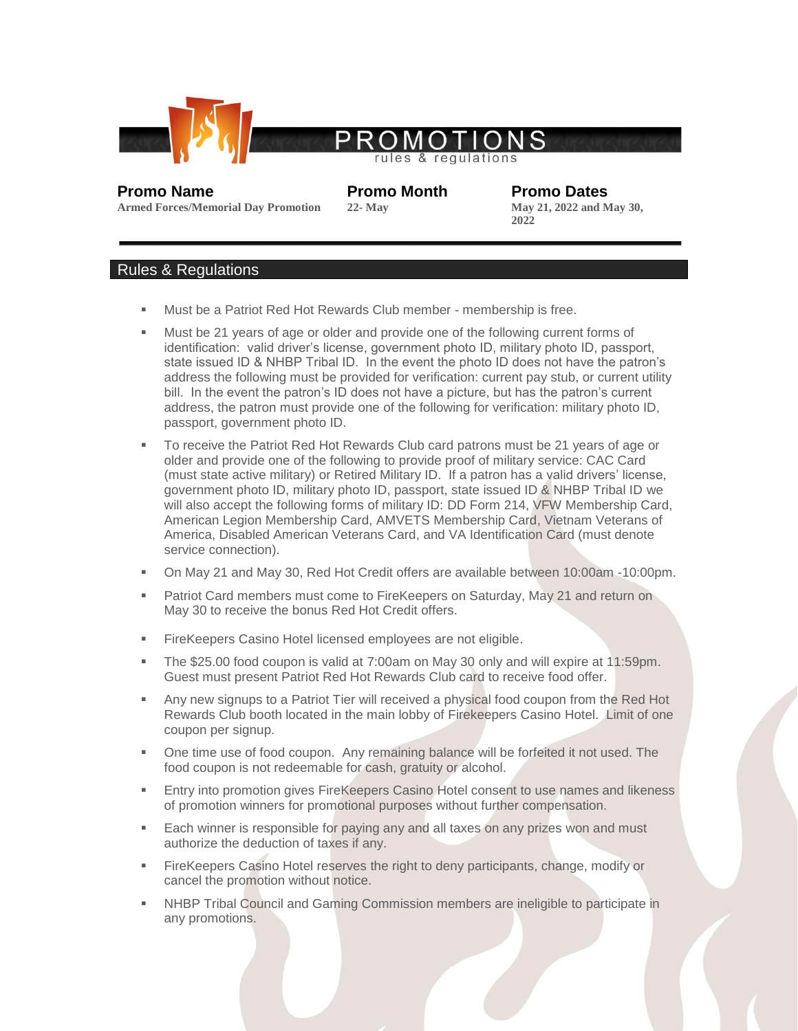

## ules regulations

**Promo Name Promo Month Promo Dates**<br> **Promo Dates**<br> **Promo Dates**<br> **Promo Dates**<br> **Promo Dates**<br> **Promo Dates**<br> **Promo Dates**<br> **Promo Dates 2022**

## **Armed Forces/Memorial Day Promotion**

## Rules & Regulations

- Must be a Patriot Red Hot Rewards Club member membership is free.
- Must be 21 years of age or older and provide one of the following current forms of identification: valid driver's license, government photo ID, military photo ID, passport, state issued ID & NHBP Tribal ID. In the event the photo ID does not have the patron's address the following must be provided for verification: current pay stub, or current utility bill. In the event the patron's ID does not have a picture, but has the patron's current address, the patron must provide one of the following for verification: military photo ID, passport, government photo ID.
- To receive the Patriot Red Hot Rewards Club card patrons must be 21 years of age or older and provide one of the following to provide proof of military service: CAC Card (must state active military) or Retired Military ID. If a patron has a valid drivers' license, government photo ID, military photo ID, passport, state issued ID & NHBP Tribal ID we will also accept the following forms of military ID: DD Form 214, VFW Membership Card, American Legion Membership Card, AMVETS Membership Card, Vietnam Veterans of America, Disabled American Veterans Card, and VA Identification Card (must denote service connection).
- On May 21 and May 30, Red Hot Credit offers are available between 10:00am -10:00pm.
- **Patriot Card members must come to FireKeepers on Saturday, May 21 and return on** May 30 to receive the bonus Red Hot Credit offers.
- **FireKeepers Casino Hotel licensed employees are not eligible.**
- The \$25.00 food coupon is valid at 7:00am on May 30 only and will expire at 11:59pm. Guest must present Patriot Red Hot Rewards Club card to receive food offer.
- **Any new signups to a Patriot Tier will received a physical food coupon from the Red Hot** Rewards Club booth located in the main lobby of Firekeepers Casino Hotel. Limit of one coupon per signup.
- One time use of food coupon. Any remaining balance will be forfeited it not used. The food coupon is not redeemable for cash, gratuity or alcohol.
- Entry into promotion gives FireKeepers Casino Hotel consent to use names and likeness of promotion winners for promotional purposes without further compensation.
- Each winner is responsible for paying any and all taxes on any prizes won and must authorize the deduction of taxes if any.
- FireKeepers Casino Hotel reserves the right to deny participants, change, modify or cancel the promotion without notice.
- NHBP Tribal Council and Gaming Commission members are ineligible to participate in any promotions.